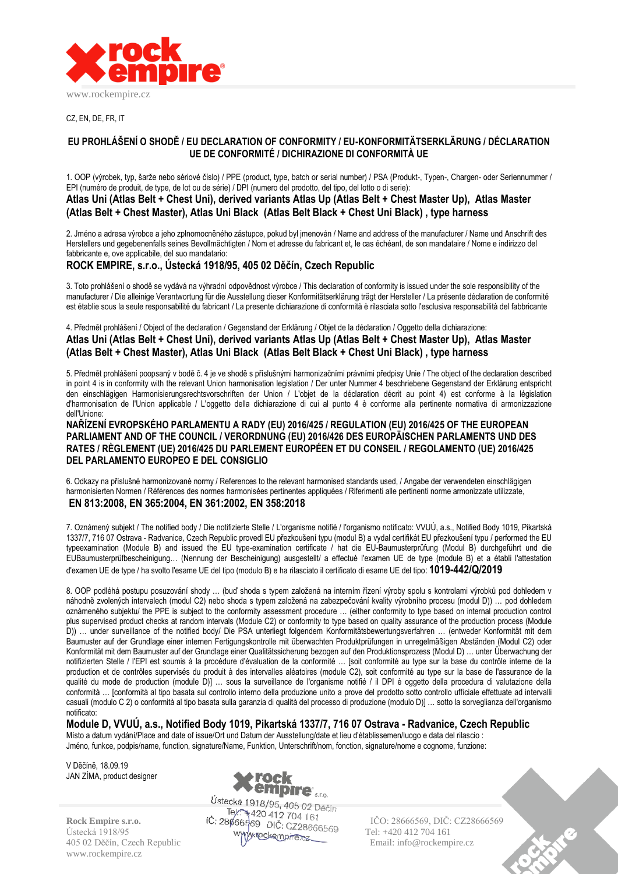

CZ, EN, DE, FR, IT

### **EU PROHLÁŠENÍ O SHODĚ / EU DECLARATION OF CONFORMITY / EU-KONFORMITÄTSERKLÄRUNG / DÉCLARATION UE DE CONFORMITÉ / DICHIRAZIONE DI CONFORMITÀ UE**

1. OOP (výrobek, typ, šarže nebo sériové číslo) / PPE (product, type, batch or serial number) / PSA (Produkt-, Typen-, Chargen- oder Seriennummer / EPI (numéro de produit, de type, de lot ou de série) / DPI (numero del prodotto, del tipo, del lotto o di serie):

## **Atlas Uni (Atlas Belt + Chest Uni), derived variants Atlas Up (Atlas Belt + Chest Master Up), Atlas Master (Atlas Belt + Chest Master), Atlas Uni Black (Atlas Belt Black + Chest Uni Black) , type harness**

2. Jméno a adresa výrobce a jeho zplnomocněného zástupce, pokud byl jmenován / Name and address of the manufacturer / Name und Anschrift des Herstellers und gegebenenfalls seines Bevollmächtigten / Nom et adresse du fabricant et, le cas échéant, de son mandataire / Nome e indirizzo del fabbricante e, ove applicabile, del suo mandatario:

# **ROCK EMPIRE, s.r.o., Ústecká 1918/95, 405 02 Děčín, Czech Republic**

3. Toto prohlášení o shodě se vydává na výhradní odpovědnost výrobce / This declaration of conformity is issued under the sole responsibility of the manufacturer / Die alleinige Verantwortung für die Ausstellung dieser Konformitätserklärung trägt der Hersteller / La présente déclaration de conformité est établie sous la seule responsabilité du fabricant / La presente dichiarazione di conformità è rilasciata sotto l'esclusiva responsabilità del fabbricante

4. Předmět prohlášení / Object of the declaration / Gegenstand der Erklärung / Objet de la déclaration / Oggetto della dichiarazione: **Atlas Uni (Atlas Belt + Chest Uni), derived variants Atlas Up (Atlas Belt + Chest Master Up), Atlas Master (Atlas Belt + Chest Master), Atlas Uni Black (Atlas Belt Black + Chest Uni Black) , type harness**

5. Předmět prohlášení poopsaný v bodě č. 4 je ve shodě s příslušnými harmonizačními právními předpisy Unie / The object of the declaration described in point 4 is in conformity with the relevant Union harmonisation legislation / Der unter Nummer 4 beschriebene Gegenstand der Erklärung entspricht den einschlägigen Harmonisierungsrechtsvorschriften der Union / L'objet de la déclaration décrit au point 4) est conforme à la législation d'harmonisation de l'Union applicable / L'oggetto della dichiarazione di cui al punto 4 è conforme alla pertinente normativa di armonizzazione dell'Unione:

**NAŘÍZENÍ EVROPSKÉHO PARLAMENTU A RADY (EU) 2016/425 / REGULATION (EU) 2016/425 OF THE EUROPEAN PARLIAMENT AND OF THE COUNCIL / VERORDNUNG (EU) 2016/426 DES EUROPÄISCHEN PARLAMENTS UND DES RATES / RÈGLEMENT (UE) 2016/425 DU PARLEMENT EUROPÉEN ET DU CONSEIL / REGOLAMENTO (UE) 2016/425 DEL PARLAMENTO EUROPEO E DEL CONSIGLIO**

6. Odkazy na příslušné harmonizované normy / References to the relevant harmonised standards used, / Angabe der verwendeten einschlägigen harmonisierten Normen / Références des normes harmonisées pertinentes appliquées / Riferimenti alle pertinenti norme armonizzate utilizzate, **EN 813:2008, EN 365:2004, EN 361:2002, EN 358:2018**

7. Oznámený subjekt / The notified body / Die notifizierte Stelle / L'organisme notifié / l'organismo notificato: VVUÚ, a.s., Notified Body 1019, Pikartská 1337/7, 716 07 Ostrava - Radvanice, Czech Republic provedl EU přezkoušení typu (modul B) a vydal certifikát EU přezkoušení typu / performed the EU typeexamination (Module B) and issued the EU type-examination certificate / hat die EU-Baumusterprüfung (Modul B) durchgeführt und die EUBaumusterprüfbescheinigung… (Nennung der Bescheinigung) ausgestellt/ a effectué l'examen UE de type (module B) et a établi l'attestation d'examen UE de type / ha svolto l'esame UE del tipo (modulo B) e ha rilasciato il certificato di esame UE del tipo: **1019-442/Q/2019**

8. OOP podléhá postupu posuzování shody … (buď shoda s typem založená na interním řízení výroby spolu s kontrolami výrobků pod dohledem v náhodně zvolených intervalech (modul C2) nebo shoda s typem založená na zabezpečování kvality výrobního procesu (modul D)) … pod dohledem oznámeného subjektu/ the PPE is subject to the conformity assessment procedure … (either conformity to type based on internal production control plus supervised product checks at random intervals (Module C2) or conformity to type based on quality assurance of the production process (Module D)) … under surveillance of the notified body/ Die PSA unterliegt folgendem Konformitätsbewertungsverfahren … (entweder Konformität mit dem Baumuster auf der Grundlage einer internen Fertigungskontrolle mit überwachten Produktprüfungen in unregelmäßigen Abständen (Modul C2) oder Konformität mit dem Baumuster auf der Grundlage einer Qualitätssicherung bezogen auf den Produktionsprozess (Modul D) … unter Überwachung der notifizierten Stelle / l'EPI est soumis à la procédure d'évaluation de la conformité … [soit conformité au type sur la base du contrôle interne de la production et de contrôles supervisés du produit à des intervalles aléatoires (module C2), soit conformité au type sur la base de l'assurance de la qualité du mode de production (module D)] … sous la surveillance de l'organisme notifié / il DPI è oggetto della procedura di valutazione della conformità … [conformità al tipo basata sul controllo interno della produzione unito a prove del prodotto sotto controllo ufficiale effettuate ad intervalli casuali (modulo C 2) o conformità al tipo basata sulla garanzia di qualità del processo di produzione (modulo D)] … sotto la sorveglianza dell'organismo notificato:

**Module D, VVUÚ, a.s., Notified Body 1019, Pikartská 1337/7, 716 07 Ostrava - Radvanice, Czech Republic** Místo a datum vydání/Place and date of issue/Ort und Datum der Ausstellung/date et lieu d'établissemen/luogo e data del rilascio : Jméno, funkce, podpis/name, function, signature/Name, Funktion, Unterschrift/nom, fonction, signature/nome e cognome, funzione:

V Děčíně, 18.09.19 JAN ZÍMA, product designer

Ustecká 1918/95 **Wywockempire.ex** 1918/95 1el: +420 412 /04 101<br>405 02 Děčín, Czech Republic Email: info@rockempire.cz www.rockempire.cz



Ústecká 1918/95, 405 02 Děčín Ústecká 1918/95  $\frac{W}{W}$ mockempisztecká 1918/95 Tel: +420 412 704 161

**Rock Empire s.r.o.** IČO: 28666569, DIČ: CZ28666569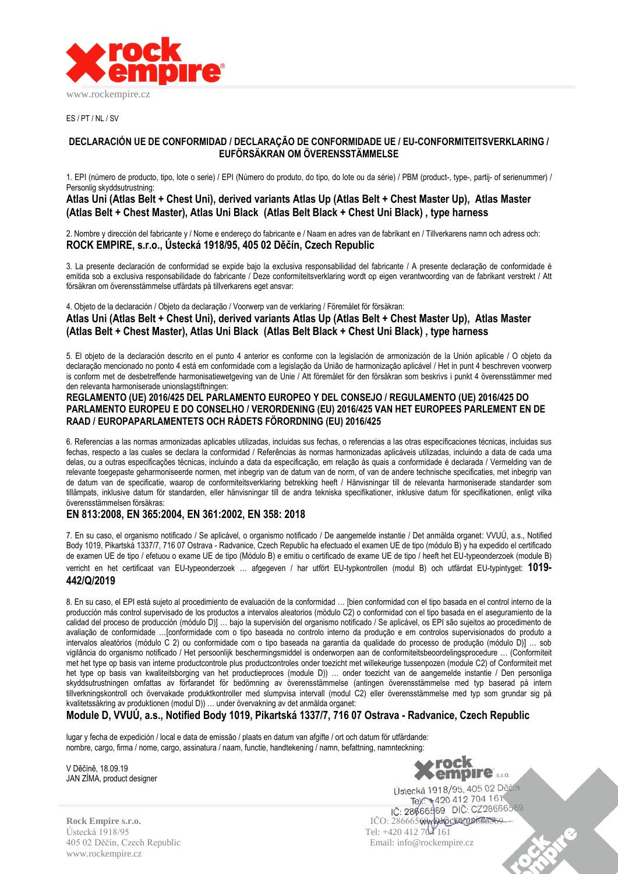

ES / PT / NL / SV

### **DECLARACIÓN UE DE CONFORMIDAD / DECLARAÇÃO DE CONFORMIDADE UE / EU-CONFORMITEITSVERKLARING / EUFÖRSÄKRAN OM ÖVERENSSTÄMMELSE**

1. EPI (número de producto, tipo, lote o serie) / EPI (Número do produto, do tipo, do lote ou da série) / PBM (product-, type-, partij- of serienummer) / Personlig skyddsutrustning:

### **Atlas Uni (Atlas Belt + Chest Uni), derived variants Atlas Up (Atlas Belt + Chest Master Up), Atlas Master (Atlas Belt + Chest Master), Atlas Uni Black (Atlas Belt Black + Chest Uni Black) , type harness**

2. Nombre y dirección del fabricante y / Nome e endereço do fabricante e / Naam en adres van de fabrikant en / Tillverkarens namn och adress och: **ROCK EMPIRE, s.r.o., Ústecká 1918/95, 405 02 Děčín, Czech Republic**

3. La presente declaración de conformidad se expide bajo la exclusiva responsabilidad del fabricante / A presente declaração de conformidade é emitida sob a exclusiva responsabilidade do fabricante / Deze conformiteitsverklaring wordt op eigen verantwoording van de fabrikant verstrekt / Att försäkran om överensstämmelse utfärdats på tillverkarens eget ansvar:

4. Objeto de la declaración / Objeto da declaração / Voorwerp van de verklaring / Föremålet för försäkran:

**Atlas Uni (Atlas Belt + Chest Uni), derived variants Atlas Up (Atlas Belt + Chest Master Up), Atlas Master (Atlas Belt + Chest Master), Atlas Uni Black (Atlas Belt Black + Chest Uni Black) , type harness**

5. El objeto de la declaración descrito en el punto 4 anterior es conforme con la legislación de armonización de la Unión aplicable / O objeto da declaração mencionado no ponto 4 está em conformidade com a legislação da União de harmonização aplicável / Het in punt 4 beschreven voorwerp is conform met de desbetreffende harmonisatiewetgeving van de Unie / Att föremålet för den försäkran som beskrivs i punkt 4 överensstämmer med den relevanta harmoniserade unionslagstiftningen:

### **REGLAMENTO (UE) 2016/425 DEL PARLAMENTO EUROPEO Y DEL CONSEJO / REGULAMENTO (UE) 2016/425 DO PARLAMENTO EUROPEU E DO CONSELHO / VERORDENING (EU) 2016/425 VAN HET EUROPEES PARLEMENT EN DE RAAD / EUROPAPARLAMENTETS OCH RÅDETS FÖRORDNING (EU) 2016/425**

6. Referencias a las normas armonizadas aplicables utilizadas, incluidas sus fechas, o referencias a las otras especificaciones técnicas, incluidas sus fechas, respecto a las cuales se declara la conformidad / Referências às normas harmonizadas aplicáveis utilizadas, incluindo a data de cada uma delas, ou a outras especificações técnicas, incluindo a data da especificação, em relação às quais a conformidade é declarada / Vermelding van de relevante toegepaste geharmoniseerde normen, met inbegrip van de datum van de norm, of van de andere technische specificaties, met inbegrip van de datum van de specificatie, waarop de conformiteitsverklaring betrekking heeft / Hänvisningar till de relevanta harmoniserade standarder som tillämpats, inklusive datum för standarden, eller hänvisningar till de andra tekniska specifikationer, inklusive datum för specifikationen, enligt vilka överensstämmelsen försäkras:

# **EN 813:2008, EN 365:2004, EN 361:2002, EN 358: 2018**

7. En su caso, el organismo notificado / Se aplicável, o organismo notificado / De aangemelde instantie / Det anmälda organet: VVUÚ, a.s., Notified Body 1019, Pikartská 1337/7, 716 07 Ostrava - Radvanice, Czech Republic ha efectuado el examen UE de tipo (módulo B) y ha expedido el certificado de examen UE de tipo / efetuou o exame UE de tipo (Módulo B) e emitiu o certificado de exame UE de tipo / heeft het EU-typeonderzoek (module B) verricht en het certificaat van EU-typeonderzoek … afgegeven / har utfört EU-typkontrollen (modul B) och utfärdat EU-typintyget: **1019- 442/Q/2019**

8. En su caso, el EPI está sujeto al procedimiento de evaluación de la conformidad … [bien conformidad con el tipo basada en el control interno de la producción más control supervisado de los productos a intervalos aleatorios (módulo C2) o conformidad con el tipo basada en el aseguramiento de la calidad del proceso de producción (módulo D)] … bajo la supervisión del organismo notificado / Se aplicável, os EPI são sujeitos ao procedimento de avaliação de conformidade …[conformidade com o tipo baseada no controlo interno da produção e em controlos supervisionados do produto a intervalos aleatórios (módulo C 2) ou conformidade com o tipo baseada na garantia da qualidade do processo de produção (módulo D)] … sob vigilância do organismo notificado / Het persoonlijk beschermingsmiddel is onderworpen aan de conformiteitsbeoordelingsprocedure … (Conformiteit met het type op basis van interne productcontrole plus productcontroles onder toezicht met willekeurige tussenpozen (module C2) of Conformiteit met het type op basis van kwaliteitsborging van het productieproces (module D)) … onder toezicht van de aangemelde instantie / Den personliga skyddsutrustningen omfattas av förfarandet för bedömning av överensstämmelse (antingen överensstämmelse med typ baserad på intern tillverkningskontroll och övervakade produktkontroller med slumpvisa intervall (modul C2) eller överensstämmelse med typ som grundar sig på kvalitetssäkring av produktionen (modul D)) … under övervakning av det anmälda organet:

**Module D, VVUÚ, a.s., Notified Body 1019, Pikartská 1337/7, 716 07 Ostrava - Radvanice, Czech Republic**

lugar y fecha de expedición / local e data de emissão / plaats en datum van afgifte / ort och datum för utfärdande: nombre, cargo, firma / nome, cargo, assinatura / naam, functie, handtekening / namn, befattning, namnteckning:

V Děčíně, 18.09.19 JAN ZÍMA, product designer



Ústecká 1918/95 Tel: +420 412 704 161 405 02 Děčín, Czech Republic Email: info@rockempire.cz www.rockempire.cz

Tel: +420 412 704 161 **Rock Empire s.r.o.** IČO: 28666569, DIČ: CZ28666569 R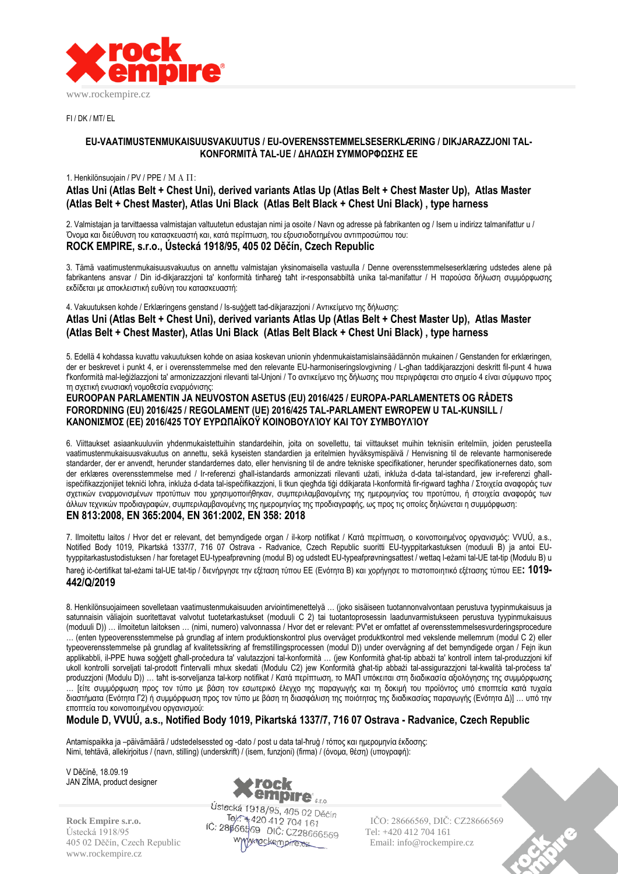

FI / DK / MT/ EL

### **EU-VAATIMUSTENMUKAISUUSVAKUUTUS / EU-OVERENSSTEMMELSESERKLÆRING / DIKJARAZZJONI TAL-KONFORMITÀ TAL-UE / ΔΗΛΩΣΗ ΣΥΜΜΟΡΦΩΣΗΣ ΕΕ**

#### 1. Henkilönsuojain / PV / PPE / ΜΑΠ:

**Atlas Uni (Atlas Belt + Chest Uni), derived variants Atlas Up (Atlas Belt + Chest Master Up), Atlas Master (Atlas Belt + Chest Master), Atlas Uni Black (Atlas Belt Black + Chest Uni Black) , type harness**

2. Valmistajan ja tarvittaessa valmistajan valtuutetun edustajan nimi ja osoite / Navn og adresse på fabrikanten og / Isem u indirizz talmanifattur u / Όνομα και διεύθυνση του κατασκευαστή και, κατά περίπτωση, του εξουσιοδοτημένου αντιπροσώπου του: **ROCK EMPIRE, s.r.o., Ústecká 1918/95, 405 02 Děčín, Czech Republic**

3. Tämä vaatimustenmukaisuusvakuutus on annettu valmistajan yksinomaisella vastuulla / Denne overensstemmelseserklæring udstedes alene på fabrikantens ansvar / Din id-dikjarazzjoni ta' konformità tinħareġ taħt ir-responsabbiltà unika tal-manifattur / Η παρούσα δήλωση συμμόρφωσης εκδίδεται με αποκλειστική ευθύνη του κατασκευαστή:

4. Vakuutuksen kohde / Erklæringens genstand / Is-suġġett tad-dikjarazzjoni / Αντικείμενο της δήλωσης: **Atlas Uni (Atlas Belt + Chest Uni), derived variants Atlas Up (Atlas Belt + Chest Master Up), Atlas Master (Atlas Belt + Chest Master), Atlas Uni Black (Atlas Belt Black + Chest Uni Black) , type harness**

5. Edellä 4 kohdassa kuvattu vakuutuksen kohde on asiaa koskevan unionin yhdenmukaistamislainsäädännön mukainen / Genstanden for erklæringen, der er beskrevet i punkt 4, er i overensstemmelse med den relevante EU-harmoniseringslovgivning / L-għan taddikjarazzjoni deskritt fil-punt 4 huwa f'konformità mal-leġiżlazzjoni ta' armonizzazzjoni rilevanti tal-Unjoni / Το αντικείμενο της δήλωσης που περιγράφεται στο σημείο 4 είναι σύμφωνο προς τη σχετική ενωσιακή νομοθεσία εναρμόνισης:

### **EUROOPAN PARLAMENTIN JA NEUVOSTON ASETUS (EU) 2016/425 / EUROPA-PARLAMENTETS OG RÅDETS FORORDNING (EU) 2016/425 / REGOLAMENT (UE) 2016/425 TAL-PARLAMENT EWROPEW U TAL-KUNSILL / ΚΑΝΟΝΙΣΜΌΣ (ΕΕ) 2016/425 ΤΟΥ ΕΥΡΩΠΑΪΚΟΫ ΚΟΙΝΟΒΟΥΛΊΟΥ ΚΑΙ ΤΟΥ ΣΥΜΒΟΥΛΊΟΥ**

6. Viittaukset asiaankuuluviin yhdenmukaistettuihin standardeihin, joita on sovellettu, tai viittaukset muihin teknisiin eritelmiin, joiden perusteella vaatimustenmukaisuusvakuutus on annettu, sekä kyseisten standardien ja eritelmien hyväksymispäivä / Henvisning til de relevante harmoniserede standarder, der er anvendt, herunder standardernes dato, eller henvisning til de andre tekniske specifikationer, herunder specifikationernes dato, som der erklæres overensstemmelse med / Ir-referenzi għall-istandards armonizzati rilevanti użati, inkluża d-data tal-istandard, jew ir-referenzi għallispeċifikazzjonijiet tekniċi loħra, inkluża d-data tal-ispeċifikazzjoni, li tkun qiegħda tiġi ddikjarata l-konformità fir-rigward tagħha / Στοιχεία αναφοράς των σχετικών εναρμονισμένων προτύπων που χρησιμοποιήθηκαν, συμπεριλαμβανομένης της ημερομηνίας του προτύπου, ή στοιχεία αναφοράς των άλλων τεχνικών προδιαγραφών, συμπεριλαμβανομένης της ημερομηνίας της προδιαγραφής, ως προς τις οποίες δηλώνεται η συμμόρφωση: **EN 813:2008, EN 365:2004, EN 361:2002, EN 358: 2018**

7. Ilmoitettu laitos / Hvor det er relevant, det bemyndigede organ / il-korp notifikat / Κατά περίπτωση, ο κοινοποιημένος οργανισμός: VVUÚ, a.s., Notified Body 1019, Pikartská 1337/7, 716 07 Ostrava - Radvanice, Czech Republic suoritti EU-tyyppitarkastuksen (moduuli B) ja antoi EUtyyppitarkastustodistuksen / har foretaget EU-typeafprøvning (modul B) og udstedt EU-typeafprøvningsattest / wettaq l-eżami tal-UE tat-tip (Modulu B) u ħareġ iċ-ċertifikat tal-eżami tal-UE tat-tip / διενήργησε την εξέταση τύπου ΕΕ (Ενότητα B) και χορήγησε το πιστοποιητικό εξέτασης τύπου ΕΕ**: 1019- 442/Q/2019**

8. Henkilönsuojaimeen sovelletaan vaatimustenmukaisuuden arviointimenettelyä … (joko sisäiseen tuotannonvalvontaan perustuva tyypinmukaisuus ja satunnaisin väliajoin suoritettavat valvotut tuotetarkastukset (moduuli C 2) tai tuotantoprosessin laadunvarmistukseen perustuva tyypinmukaisuus (moduuli D)) … ilmoitetun laitoksen … (nimi, numero) valvonnassa / Hvor det er relevant: PV'et er omfattet af overensstemmelsesvurderingsprocedure … (enten typeoverensstemmelse på grundlag af intern produktionskontrol plus overvåget produktkontrol med vekslende mellemrum (modul C 2) eller typeoverensstemmelse på grundlag af kvalitetssikring af fremstillingsprocessen (modul D)) under overvågning af det bemyndigede organ / Fejn ikun applikabbli, il-PPE huwa soġġett għall-proċedura ta' valutazzjoni tal-konformità … (jew Konformità għat-tip abbażi ta' kontroll intern tal-produzzjoni kif ukoll kontrolli sorveljati tal-prodott f'intervalli mhux skedati (Modulu C2) jew Konformità għat-tip abbażi tal-assigurazzjoni tal-kwalità tal-proċess ta' produzzjoni (Modulu D)) … taħt is-sorveljanza tal-korp notifikat / Κατά περίπτωση, το ΜΑΠ υπόκειται στη διαδικασία αξιολόγησης της συμμόρφωσης … [είτε συμμόρφωση προς τον τύπο με βάση τον εσωτερικό έλεγχο της παραγωγής και τη δοκιμή του προϊόντος υπό εποπτεία κατά τυχαία διαστήματα (Ενότητα Γ2) ή συμμόρφωση προς τον τύπο με βάση τη διασφάλιση της ποιότητας της διαδικασίας παραγωγής (Ενότητα Δ)] … υπό την εποπτεία του κοινοποιημένου οργανισμού:

# **Module D, VVUÚ, a.s., Notified Body 1019, Pikartská 1337/7, 716 07 Ostrava - Radvanice, Czech Republic**

Antamispaikka ja –päivämäärä / udstedelsessted og -dato / post u data tal-ħruġ / τόπος και ημερομηνία έκδοσης: Nimi, tehtävä, allekirjoitus / (navn, stilling) (underskrift) / (isem, funzjoni) (firma) / (όνομα, θέση) (υπογραφή):

V Děčíně, 18.09.19 JAN ZÍMA, product designer

www.rockempire.cz



Ustecká 1918/95 **Tel: Elección Elección de Tel:** +420 412 704 161 405 02 Děčín, Czech Republic Wylynockempire.ex Email: info@rockempire.cz

**Rock Empire s.r.o. ICO: 28666569 ICO: 28666569, DIČ: CZ28666569**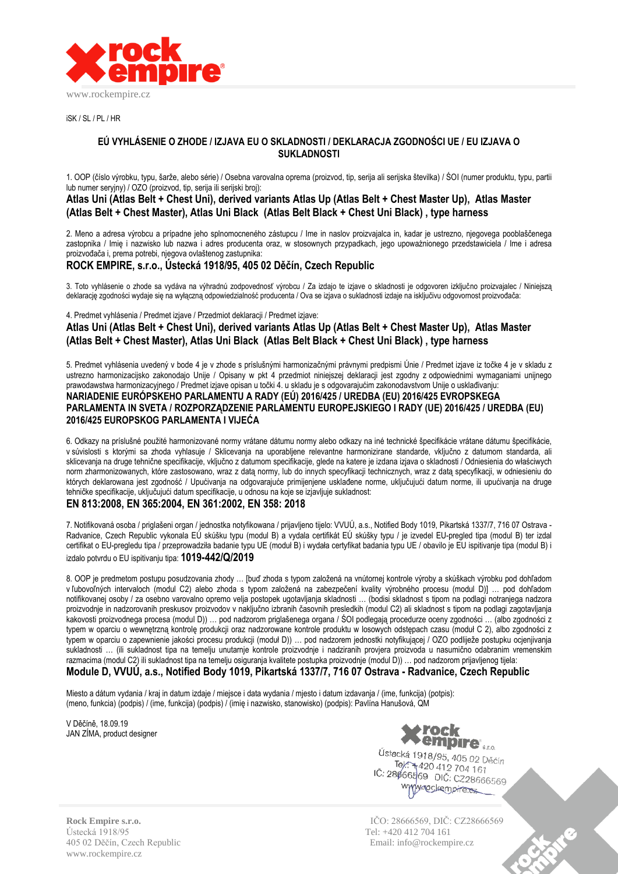

iSK / SL / PL / HR

### **EÚ VYHLÁSENIE O ZHODE / IZJAVA EU O SKLADNOSTI / DEKLARACJA ZGODNOŚCI UE / EU IZJAVA O SUKLADNOSTI**

1. OOP (číslo výrobku, typu, šarže, alebo série) / Osebna varovalna oprema (proizvod, tip, serija ali serijska številka) / ŚOI (numer produktu, typu, partii lub numer seryjny) / OZO (proizvod, tip, serija ili serijski broj):

## **Atlas Uni (Atlas Belt + Chest Uni), derived variants Atlas Up (Atlas Belt + Chest Master Up), Atlas Master (Atlas Belt + Chest Master), Atlas Uni Black (Atlas Belt Black + Chest Uni Black) , type harness**

2. Meno a adresa výrobcu a prípadne jeho splnomocneného zástupcu / Ime in naslov proizvajalca in, kadar je ustrezno, njegovega pooblaščenega zastopnika / Imię i nazwisko lub nazwa i adres producenta oraz, w stosownych przypadkach, jego upoważnionego przedstawiciela / Ime i adresa proizvođača i, prema potrebi, njegova ovlaštenog zastupnika:

# **ROCK EMPIRE, s.r.o., Ústecká 1918/95, 405 02 Děčín, Czech Republic**

3. Toto vyhlásenie o zhode sa vydáva na výhradnú zodpovednosť výrobcu / Za izdajo te izjave o skladnosti je odgovoren izključno proizvajalec / Niniejszą deklarację zgodności wydaje się na wyłączną odpowiedzialność producenta / Ova se izjava o sukladnosti izdaje na isključivu odgovornost proizvođača:

4. Predmet vyhlásenia / Predmet izjave / Przedmiot deklaracji / Predmet izjave:

**Atlas Uni (Atlas Belt + Chest Uni), derived variants Atlas Up (Atlas Belt + Chest Master Up), Atlas Master (Atlas Belt + Chest Master), Atlas Uni Black (Atlas Belt Black + Chest Uni Black) , type harness**

5. Predmet vyhlásenia uvedený v bode 4 je v zhode s príslušnými harmonizačnými právnymi predpismi Únie / Predmet izjave iz točke 4 je v skladu z ustrezno harmonizacijsko zakonodajo Unije / Opisany w pkt 4 przedmiot niniejszej deklaracji jest zgodny z odpowiednimi wymaganiami unijnego prawodawstwa harmonizacyjnego / Predmet izjave opisan u točki 4. u skladu je s odgovarajućim zakonodavstvom Unije o usklađivanju: **NARIADENIE EURÓPSKEHO PARLAMENTU A RADY (EÚ) 2016/425 / UREDBA (EU) 2016/425 EVROPSKEGA PARLAMENTA IN SVETA / ROZPORZĄDZENIE PARLAMENTU EUROPEJSKIEGO I RADY (UE) 2016/425 / UREDBA (EU) 2016/425 EUROPSKOG PARLAMENTA I VIJEĆA**

6. Odkazy na príslušné použité harmonizované normy vrátane dátumu normy alebo odkazy na iné technické špecifikácie vrátane dátumu špecifikácie, v súvislosti s ktorými sa zhoda vyhlasuje / Sklicevanja na uporabljene relevantne harmonizirane standarde, vključno z datumom standarda, ali sklicevanja na druge tehnične specifikacije, vključno z datumom specifikacije, glede na katere je izdana izjava o skladnosti / Odniesienia do właściwych norm zharmonizowanych, które zastosowano, wraz z datą normy, lub do innych specyfikacji technicznych, wraz z datą specyfikacji, w odniesieniu do których deklarowana jest zgodność / Upućivanja na odgovarajuće primijenjene usklađene norme, uključujući datum norme, ili upućivanja na druge tehničke specifikacije, uključujući datum specifikacije, u odnosu na koje se izjavljuje sukladnost:

# **EN 813:2008, EN 365:2004, EN 361:2002, EN 358: 2018**

7. Notifikovaná osoba / priglašeni organ / jednostka notyfikowana / prijavljeno tijelo: VVUÚ, a.s., Notified Body 1019, Pikartská 1337/7, 716 07 Ostrava - Radvanice, Czech Republic vykonala EÚ skúšku typu (modul B) a vydala certifikát EÚ skúšky typu / je izvedel EU-pregled tipa (modul B) ter izdal certifikat o EU-pregledu tipa / przeprowadziła badanie typu UE (moduł B) i wydała certyfikat badania typu UE / obavilo je EU ispitivanje tipa (modul B) i izdalo potvrdu o EU ispitivanju tipa: **1019-442/Q/2019**

8. OOP je predmetom postupu posudzovania zhody … [buď zhoda s typom založená na vnútornej kontrole výroby a skúškach výrobku pod dohľadom v ľubovoľných intervaloch (modul C2) alebo zhoda s typom založená na zabezpečení kvality výrobného procesu (modul D)] … pod dohľadom notifikovanej osoby / za osebno varovalno opremo velja postopek ugotavljanja skladnosti … (bodisi skladnost s tipom na podlagi notranjega nadzora proizvodnje in nadzorovanih preskusov proizvodov v naključno izbranih časovnih presledkih (modul C2) ali skladnost s tipom na podlagi zagotavljanja kakovosti proizvodnega procesa (modul D)) … pod nadzorom priglašenega organa / ŚOI podlegają procedurze oceny zgodności … (albo zgodności z typem w oparciu o wewnętrzną kontrolę produkcji oraz nadzorowane kontrole produktu w losowych odstępach czasu (moduł C 2), albo zgodności z typem w oparciu o zapewnienie jakości procesu produkcji (moduł D)) … pod nadzorem jednostki notyfikującej / OZO podliježe postupku ocjenjivanja sukladnosti … (ili sukladnost tipa na temelju unutarnje kontrole proizvodnje i nadziranih provjera proizvoda u nasumično odabranim vremenskim razmacima (modul C2) ili sukladnost tipa na temelju osiguranja kvalitete postupka proizvodnje (modul D)) … pod nadzorom prijavljenog tijela: **Module D, VVUÚ, a.s., Notified Body 1019, Pikartská 1337/7, 716 07 Ostrava - Radvanice, Czech Republic**

Miesto a dátum vydania / kraj in datum izdaje / miejsce i data wydania / mjesto i datum izdavanja / (ime, funkcija) (potpis): (meno, funkcia) (podpis) / (ime, funkcija) (podpis) / (imię i nazwisko, stanowisko) (podpis): Pavlína Hanušová, QM

V Děčíně, 18.09.19 JAN ZÍMA, product designer



Ústecká 1918/95, 405 02 Děčín Pek: 1916/95, 405 02 D.<br>Tel: 1420 412 704 161 IČ: 28666569 DIČ: CZ28666569 www.nockempire.ex

Ústecká 1918/95 Tel: +420 412 704 161 405 02 Děčín, Czech Republic Email: info@rockempire.cz www.rockempire.cz

**Rock Empire s.r.o.** IČO: 28666569, DIČ: CZ28666569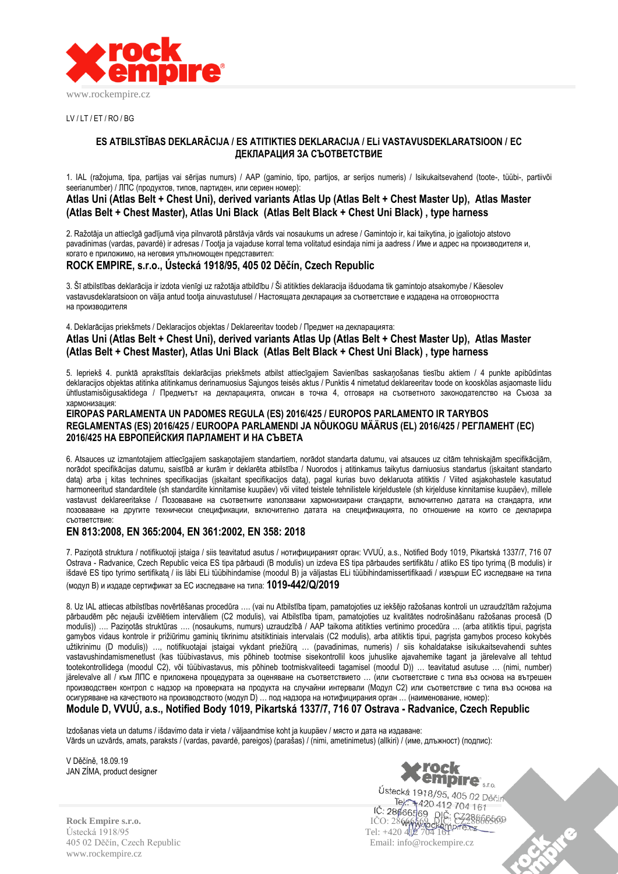

 $UV/IT/FT/RO/RG$ 

### **ES ATBILSTĪBAS DEKLARĀCIJA / ES ATITIKTIES DEKLARACIJA / ELi VASTAVUSDEKLARATSIOON / ЕС ДЕКЛАРАЦИЯ ЗА СЪОТВЕТСТВИЕ**

1. IAL (ražojuma, tipa, partijas vai sērijas numurs) / AAP (gaminio, tipo, partijos, ar serijos numeris) / Isikukaitsevahend (toote-, tüübi-, partiivõi seerianumber) / ЛПС (продуктов, типов, партиден, или сериен номер):

## **Atlas Uni (Atlas Belt + Chest Uni), derived variants Atlas Up (Atlas Belt + Chest Master Up), Atlas Master (Atlas Belt + Chest Master), Atlas Uni Black (Atlas Belt Black + Chest Uni Black) , type harness**

2. Ražotāja un attiecīgā gadījumā viņa pilnvarotā pārstāvja vārds vai nosaukums un adrese / Gamintojo ir, kai taikytina, jo įgaliotojo atstovo pavadinimas (vardas, pavardė) ir adresas / Tootja ja vajaduse korral tema volitatud esindaja nimi ja aadress / Име и адрес на производителя и, когато е приложимо, на неговия упълномощен представител:

# **ROCK EMPIRE, s.r.o., Ústecká 1918/95, 405 02 Děčín, Czech Republic**

3. Šī atbilstības deklarācija ir izdota vienīgi uz ražotāja atbildību / Ši atitikties deklaracija išduodama tik gamintojo atsakomybe / Käesolev vastavusdeklaratsioon on välja antud tootja ainuvastutusel / Настоящата декларация за съответствие е издадена на отговорността на производителя

4. Deklarācijas priekšmets / Deklaracijos objektas / Deklareeritav toodeb / Предмет на декларацията:

**Atlas Uni (Atlas Belt + Chest Uni), derived variants Atlas Up (Atlas Belt + Chest Master Up), Atlas Master (Atlas Belt + Chest Master), Atlas Uni Black (Atlas Belt Black + Chest Uni Black) , type harness**

5. Iepriekš 4. punktā aprakstītais deklarācijas priekšmets atbilst attiecīgajiem Savienības saskaņošanas tiesību aktiem / 4 punkte apibūdintas deklaracijos objektas atitinka atitinkamus derinamuosius Sąjungos teisės aktus / Punktis 4 nimetatud deklareeritav toode on kooskõlas asjaomaste liidu ühtlustamisõigusaktidega / Предметът на декларацията, описан в точка 4, отговаря на съответното законодателство на Съюза за хармонизация:

#### **EIROPAS PARLAMENTA UN PADOMES REGULA (ES) 2016/425 / EUROPOS PARLAMENTO IR TARYBOS REGLAMENTAS (ES) 2016/425 / EUROOPA PARLAMENDI JA NÕUKOGU MÄÄRUS (EL) 2016/425 / РЕГЛАМЕНТ (ЕС) 2016/425 НА ЕВРОПЕЙСКИЯ ПАРЛАМЕНТ И НА СЪВЕТА**

6. Atsauces uz izmantotajiem attiecīgajiem saskaņotajiem standartiem, norādot standarta datumu, vai atsauces uz citām tehniskajām specifikācijām, norādot specifikācijas datumu, saistībā ar kurām ir deklarēta atbilstība / Nuorodos į atitinkamus taikytus darniuosius standartus (įskaitant standarto datą) arba į kitas technines specifikacijas (įskaitant specifikacijos datą), pagal kurias buvo deklaruota atitiktis / Viited asjakohastele kasutatud harmoneeritud standarditele (sh standardite kinnitamise kuupäev) või viited teistele tehnilistele kirjeldustele (sh kirjelduse kinnitamise kuupäev), millele vastavust deklareeritakse / Позоваване на съответните използвани хармонизирани стандарти, включително датата на стандарта, или позоваване на другите технически спецификации, включително датата на спецификацията, по отношение на които се декларира съответствие:

## **EN 813:2008, EN 365:2004, EN 361:2002, EN 358: 2018**

7. Paziņotā struktura / notifikuotoji įstaiga / siis teavitatud asutus / нотифицираният орган: VVUÚ, a.s., Notified Body 1019, Pikartská 1337/7, 716 07 Ostrava - Radvanice, Czech Republic veica ES tipa pārbaudi (B modulis) un izdeva ES tipa pārbaudes sertifikātu / atliko ES tipo tyrimą (B modulis) ir išdavė ES tipo tyrimo sertifikatą / iis läbi ELi tüübihindamise (moodul B) ja väljastas ELi tüübihindamissertifikaadi / извърши ЕС изследване на типа (модул B) и издаде сертификат за ЕС изследване на типа: **1019-442/Q/2019**

8. Uz IAL attiecas atbilstības novērtēšanas procedūra …. (vai nu Atbilstība tipam, pamatojoties uz iekšējo ražošanas kontroli un uzraudzītām ražojuma pārbaudēm pēc nejauši izvēlētiem intervāliem (C2 modulis), vai Atbilstība tipam, pamatojoties uz kvalitātes nodrošināšanu ražošanas procesā (D modulis)) …. Paziņotās struktūras …. (nosaukums, numurs) uzraudzībā / AAP taikoma atitikties vertinimo procedūra … (arba atitiktis tipui, pagrįsta gamybos vidaus kontrole ir prižiūrimu gaminių tikrinimu atsitiktiniais intervalais (C2 modulis), arba atitiktis tipui, pagrįsta gamybos proceso kokybės užtikrinimu (D modulis)) …, notifikuotajai įstaigai vykdant priežiūrą … (pavadinimas, numeris) / siis kohaldatakse isikukaitsevahendi suhtes vastavushindamismenetlust (kas tüübivastavus, mis põhineb tootmise sisekontrollil koos juhuslike ajavahemike tagant ja järelevalve all tehtud tootekontrollidega (moodul C2), või tüübivastavus, mis põhineb tootmiskvaliteedi tagamisel (moodul D)) … teavitatud asutuse … (nimi, number) järelevalve all / към ЛПС е приложена процедурата за оценяване на съответствието … (или съответствие с типа въз основа на вътрешен производствен контрол с надзор на проверката на продукта на случайни интервали (Модул C2) или съответствие с типа въз основа на осигуряване на качеството на производството (модул D) … под надзора на нотифицирания орган … (наименование, номер):

# **Module D, VVUÚ, a.s., Notified Body 1019, Pikartská 1337/7, 716 07 Ostrava - Radvanice, Czech Republic**

Izdošanas vieta un datums / išdavimo data ir vieta / väljaandmise koht ja kuupäev / място и дата на издаване: Vārds un uzvārds, amats, paraksts / (vardas, pavardė, pareigos) (parašas) / (nimi, ametinimetus) (allkiri) / (име, длъжност) (подпис):

V Děčíně, 18.09.19 JAN ZÍMA, product designer



Ústecká 1918/95 Tel: +420 412 704 161 405 02 Děčín, Czech Republic Email: info@rockempire.cz www.rockempire.cz

Ústecká 1918/95, 405 02 Děčín Tel: +420 412 704 161 **Rock Empire s.r.o. ICO: 28666569, DICO: 28666569, DICO: 28666569, DICO: 28666569, DICO: 286665699**